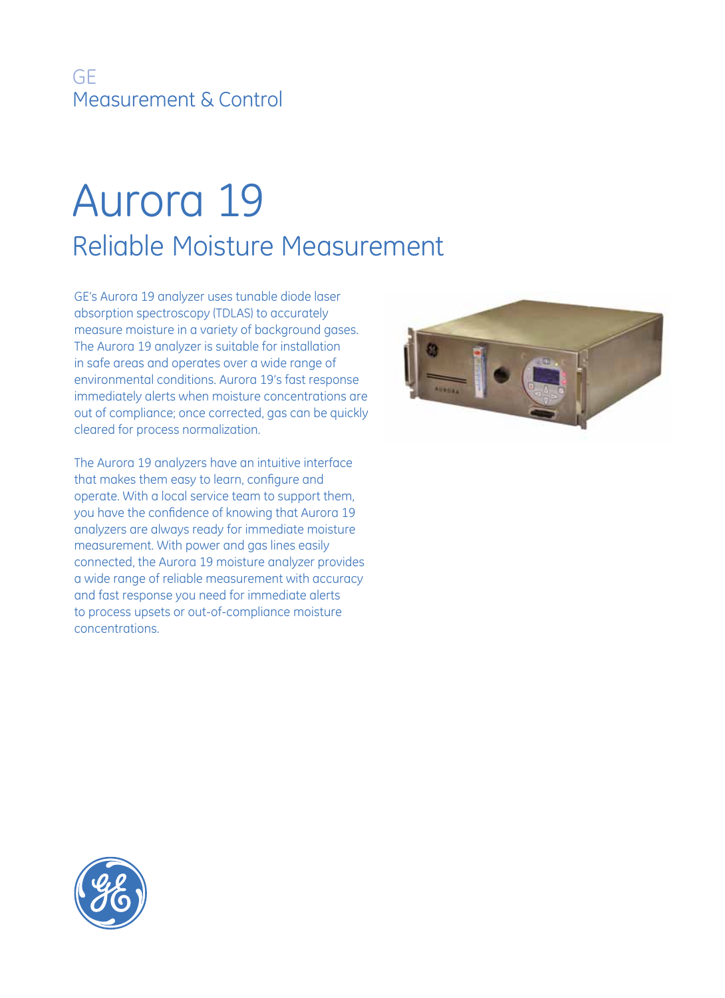## GE Measurement & Control

## Aurora 19 Reliable Moisture Measurement

GE's Aurora 19 analyzer uses tunable diode laser absorption spectroscopy (TDLAS) to accurately measure moisture in a variety of background gases. The Aurora 19 analyzer is suitable for installation in safe areas and operates over a wide range of environmental conditions. Aurora 19's fast response immediately alerts when moisture concentrations are out of compliance; once corrected, gas can be quickly cleared for process normalization.

The Aurora 19 analyzers have an intuitive interface that makes them easy to learn, configure and operate. With a local service team to support them, you have the confidence of knowing that Aurora 19 analyzers are always ready for immediate moisture measurement. With power and gas lines easily connected, the Aurora 19 moisture analyzer provides a wide range of reliable measurement with accuracy and fast response you need for immediate alerts to process upsets or out-of-compliance moisture concentrations.